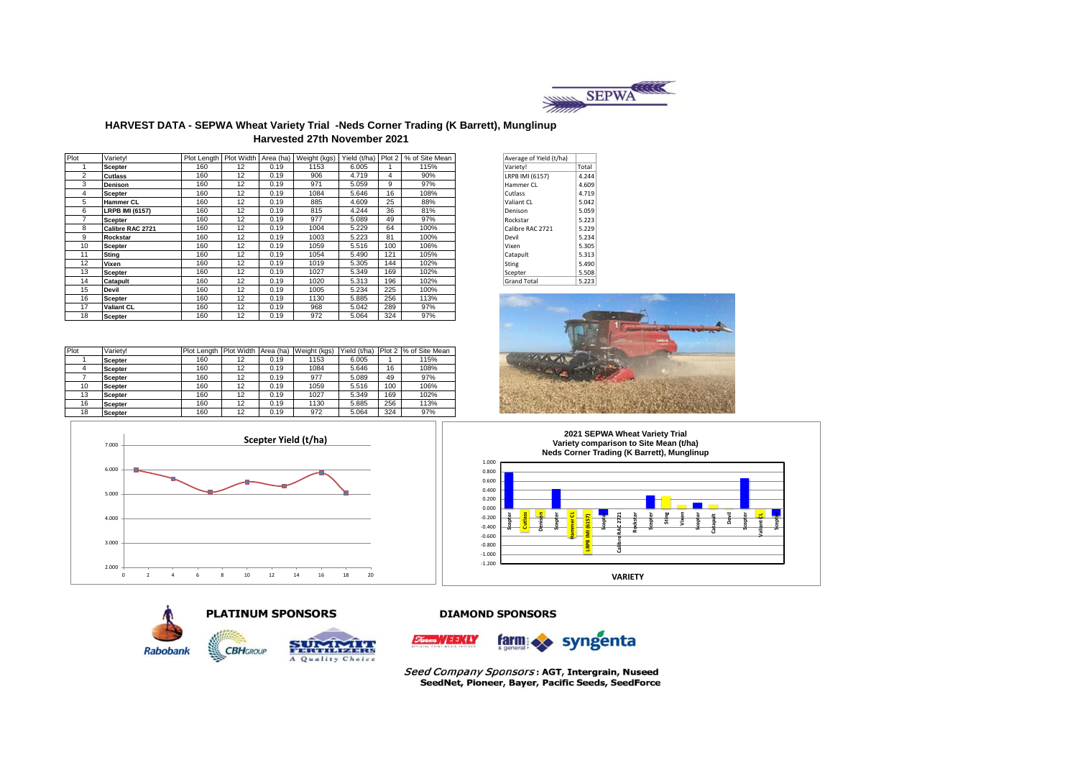

#### **HARVEST DATA - SEPWA Wheat Variety Trial -Neds Corner Trading (K Barrett), Munglinup Harvested 27th November 2021**

| Plot           | Varietv!               |     |    |      |      |       |     | Plot Length   Plot Width   Area (ha)   Weight (kgs)   Yield (t/ha)   Plot 2   % of Site Mean | Average of Yield (t/ha) |       |
|----------------|------------------------|-----|----|------|------|-------|-----|----------------------------------------------------------------------------------------------|-------------------------|-------|
|                | Scepter                | 160 | 12 | 0.19 | 1153 | 6.005 |     | 115%                                                                                         | Variety!                | Total |
| $\overline{2}$ | <b>Cutlass</b>         | 160 | 12 | 0.19 | 906  | 4.719 | 4   | 90%                                                                                          | LRPB IMI (6157)         | 4.244 |
| 3              | <b>Denison</b>         | 160 | 12 | 0.19 | 971  | 5.059 | 9   | 97%                                                                                          | Hammer CL               | 4.609 |
| 4              | <b>Scepter</b>         | 160 | 12 | 0.19 | 1084 | 5.646 | 16  | 108%                                                                                         | Cutlass                 | 4.719 |
| 5              | <b>Hammer CL</b>       | 160 | 12 | 0.19 | 885  | 4.609 | 25  | 88%                                                                                          | Valiant CL              | 5.042 |
| 6              | <b>LRPB IMI (6157)</b> | 160 | 12 | 0.19 | 815  | 4.244 | 36  | 81%                                                                                          | Denison                 | 5.059 |
|                | <b>Scepter</b>         | 160 | 12 | 0.19 | 977  | 5.089 | 49  | 97%                                                                                          | Rockstar                | 5.223 |
| 8              | Calibre RAC 2721       | 160 | 12 | 0.19 | 1004 | 5.229 | 64  | 100%                                                                                         | Calibre RAC 2721        | 5.229 |
| 9              | Rockstar               | 160 | 12 | 0.19 | 1003 | 5.223 | 81  | 100%                                                                                         | Devil                   | 5.234 |
| 10             | <b>Scepter</b>         | 160 | 12 | 0.19 | 1059 | 5.516 | 100 | 106%                                                                                         | Vixen                   | 5.305 |
| 11             | Sting                  | 160 | 12 | 0.19 | 1054 | 5.490 | 121 | 105%                                                                                         | Catapult                | 5.313 |
| 12             | Vixen                  | 160 | 12 | 0.19 | 1019 | 5.305 | 144 | 102%                                                                                         | Sting                   | 5.490 |
| 13             | <b>Scepter</b>         | 160 | 12 | 0.19 | 1027 | 5.349 | 169 | 102%                                                                                         | Scepter                 | 5.508 |
| 14             | Catapult               | 160 | 12 | 0.19 | 1020 | 5.313 | 196 | 102%                                                                                         | <b>Grand Total</b>      | 5.223 |
| 15             | Devil                  | 160 | 12 | 0.19 | 1005 | 5.234 | 225 | 100%                                                                                         |                         |       |
| 16             | <b>Scepter</b>         | 160 | 12 | 0.19 | 1130 | 5.885 | 256 | 113%                                                                                         |                         |       |
| 17             | <b>Valiant CL</b>      | 160 | 12 | 0.19 | 968  | 5.042 | 289 | 97%                                                                                          |                         |       |
| 18             | <b>Scepter</b>         | 160 | 12 | 0.19 | 972  | 5.064 | 324 | 97%                                                                                          |                         |       |

| Plot | Varietv!       | Plot Lenath | Plot Width Area (ha) |      | Weight (kgs) | Yield (t/ha) |     | Plot 2 % of Site Mean |
|------|----------------|-------------|----------------------|------|--------------|--------------|-----|-----------------------|
|      | <b>Scepter</b> | 160         | 12                   | 0.19 | 1153         | 6.005        |     | 115%                  |
|      | <b>Scepter</b> | 160         | 12                   | 0.19 | 1084         | 5.646        | 16  | 108%                  |
|      | <b>Scepter</b> | 160         | 12                   | 0.19 | 977          | 5.089        | 49  | 97%                   |
| 10   | <b>Scepter</b> | 160         | 12                   | 0.19 | 1059         | 5.516        | 100 | 106%                  |
| 13   | <b>Scepter</b> | 160         | 12                   | 0.19 | 1027         | 5.349        | 169 | 102%                  |
| 16   | <b>Scepter</b> | 160         | 12                   | 0.19 | 1130         | 5.885        | 256 | 113%                  |
| 18   | <b>Scepter</b> | 160         | 12                   | 0.19 | 972          | 5.064        | 324 | 97%                   |



| Average of Yield (t/ha) |       |
|-------------------------|-------|
| Variety!                | Total |
| LRPB IMI (6157)         | 4.244 |
| Hammer CL               | 4.609 |
| Cutlass                 | 4.719 |
| Valiant CL              | 5.042 |
| Denison                 | 5.059 |
| Rockstar                | 5.223 |
| Calibre RAC 2721        | 5.229 |
| Devil                   | 5.234 |
| Vixen                   | 5.305 |
| Catapult                | 5.313 |
| Sting                   | 5.490 |
| Scepter                 | 5.508 |
| <b>Grand Total</b>      | 5.223 |





#### **DIAMOND SPONSORS**



Seed Company Sponsors: AGT, Intergrain, Nuseed<br>SeedNet, Pioneer, Bayer, Pacific Seeds, SeedForce







**PLATINUM SPONSORS** 

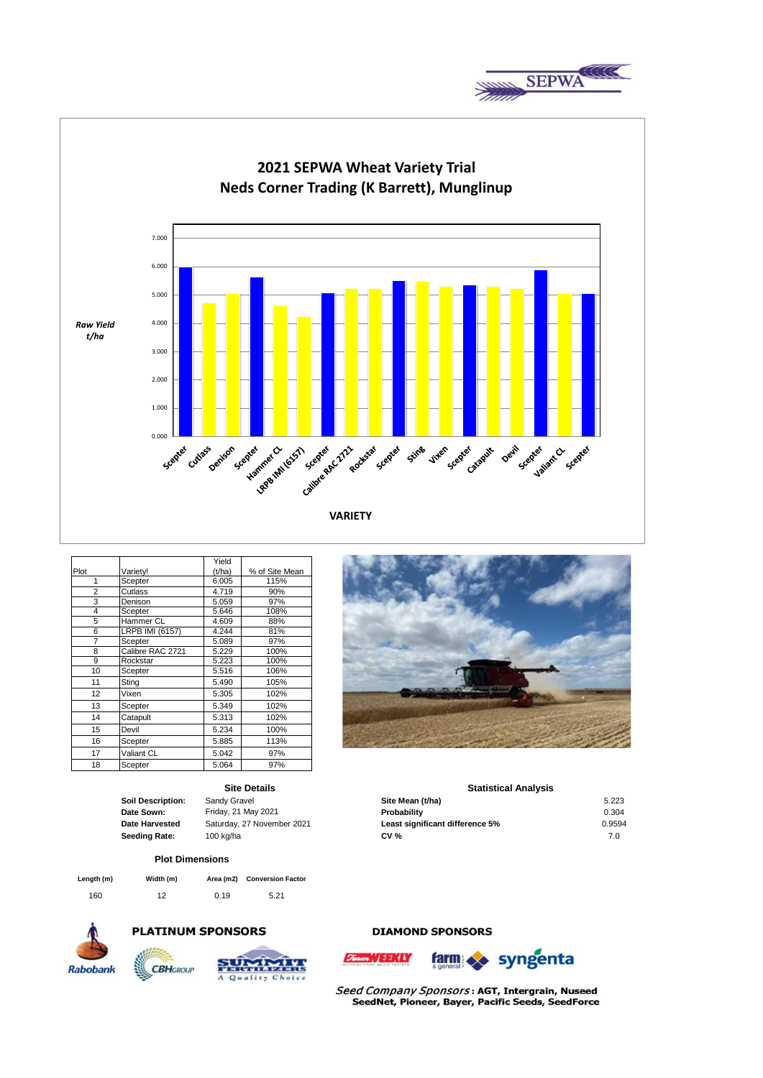



|      |                  | Yield  |                |
|------|------------------|--------|----------------|
| Plot | Variety!         | (t/ha) | % of Site Mean |
| 1    | Scepter          | 6.005  | 115%           |
| 2    | Cutlass          | 4.719  | 90%            |
| 3    | Denison          | 5.059  | 97%            |
| 4    | Scepter          | 5.646  | 108%           |
| 5    | Hammer CL        | 4.609  | 88%            |
| 6    | LRPB IMI (6157)  | 4.244  | 81%            |
| 7    | Scepter          | 5.089  | 97%            |
| 8    | Calibre RAC 2721 | 5.229  | 100%           |
| 9    | Rockstar         | 5.223  | 100%           |
| 10   | Scepter          | 5.516  | 106%           |
| 11   | Sting            | 5.490  | 105%           |
| 12   | Vixen            | 5.305  | 102%           |
| 13   | Scepter          | 5.349  | 102%           |
| 14   | Catapult         | 5.313  | 102%           |
| 15   | Devil            | 5.234  | 100%           |
| 16   | Scepter          | 5.885  | 113%           |
| 17   | Valiant CL       | 5.042  | 97%            |
| 18   | Scepter          | 5.064  | 97%            |

### **Site Details**

### **Plot Dimensions**

| Length (m) | Width (m) | Area (m2) | <b>Conversion Factor</b> |
|------------|-----------|-----------|--------------------------|
| 160        | 12        | 0.19      | 5.21                     |



# **PLATINUM SPONSORS**



### **DIAMOND SPONSORS**



Seed Company Sponsors: AGT, Intergrain, Nuseed SeedNet, Pioneer, Bayer, Pacific Seeds, SeedForce



#### **Statistical Analysis**

| Soil Description: | Sandy Gravel               | Site Mean (t/ha)                | 5.223  |
|-------------------|----------------------------|---------------------------------|--------|
| Date Sown:        | Friday, 21 May 2021        | Probability                     | 0.304  |
| Date Harvested    | Saturday, 27 November 2021 | Least significant difference 5% | 0.9594 |
| Seeding Rate:     | 100 ka/ha                  | <b>CV %</b>                     | 7.0    |